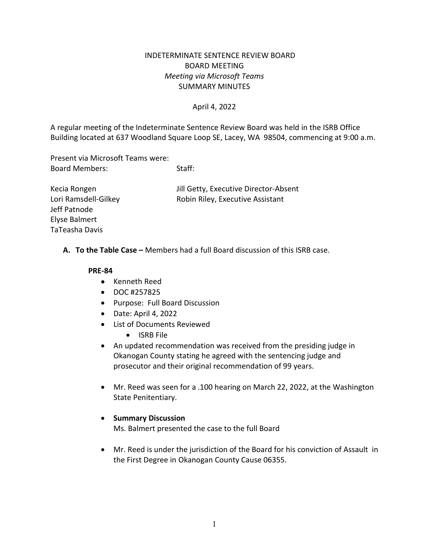# INDETERMINATE SENTENCE REVIEW BOARD BOARD MEETING *Meeting via Microsoft Teams* SUMMARY MINUTES

### April 4, 2022

A regular meeting of the Indeterminate Sentence Review Board was held in the ISRB Office Building located at 637 Woodland Square Loop SE, Lacey, WA 98504, commencing at 9:00 a.m.

Present via Microsoft Teams were: Board Members: Staff:

Kecia Rongen Jill Getty, Executive Director-Absent Lori Ramsdell-Gilkey **Robin Riley, Executive Assistant** 

**A. To the Table Case –** Members had a full Board discussion of this ISRB case.

#### **PRE-84**

Jeff Patnode Elyse Balmert TaTeasha Davis

- Kenneth Reed
- DOC #257825
- Purpose: Full Board Discussion
- Date: April 4, 2022
- List of Documents Reviewed
	- ISRB File
- An updated recommendation was received from the presiding judge in Okanogan County stating he agreed with the sentencing judge and prosecutor and their original recommendation of 99 years.
- Mr. Reed was seen for a .100 hearing on March 22, 2022, at the Washington State Penitentiary.

#### • **Summary Discussion**

Ms. Balmert presented the case to the full Board

• Mr. Reed is under the jurisdiction of the Board for his conviction of Assault in the First Degree in Okanogan County Cause 06355.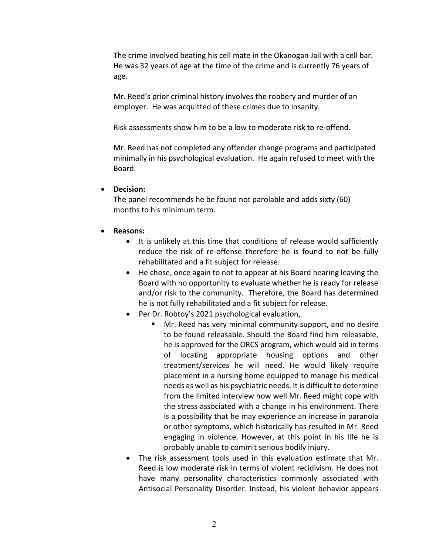The crime involved beating his cell mate in the Okanogan Jail with a cell bar. He was 32 years of age at the time of the crime and is currently 76 years of age.

Mr. Reed's prior criminal history involves the robbery and murder of an employer. He was acquitted of these crimes due to insanity.

Risk assessments show him to be a low to moderate risk to re-offend.

Mr. Reed has not completed any offender change programs and participated minimally in his psychological evaluation. He again refused to meet with the Board.

### • **Decision:**

The panel recommends he be found not parolable and adds sixty (60) months to his minimum term.

# • **Reasons:**

- It is unlikely at this time that conditions of release would sufficiently reduce the risk of re-offense therefore he is found to not be fully rehabilitated and a fit subject for release.
- He chose, once again to not to appear at his Board hearing leaving the Board with no opportunity to evaluate whether he is ready for release and/or risk to the community. Therefore, the Board has determined he is not fully rehabilitated and a fit subject for release.
- Per Dr. Robtoy's 2021 psychological evaluation,
	- Mr. Reed has very minimal community support, and no desire to be found releasable. Should the Board find him releasable, he is approved for the ORCS program, which would aid in terms of locating appropriate housing options and other treatment/services he will need. He would likely require placement in a nursing home equipped to manage his medical needs as well as his psychiatric needs. It is difficult to determine from the limited interview how well Mr. Reed might cope with the stress associated with a change in his environment. There is a possibility that he may experience an increase in paranoia or other symptoms, which historically has resulted in Mr. Reed engaging in violence. However, at this point in his life he is probably unable to commit serious bodily injury.
- The risk assessment tools used in this evaluation estimate that Mr. Reed is low moderate risk in terms of violent recidivism. He does not have many personality characteristics commonly associated with Antisocial Personality Disorder. Instead, his violent behavior appears